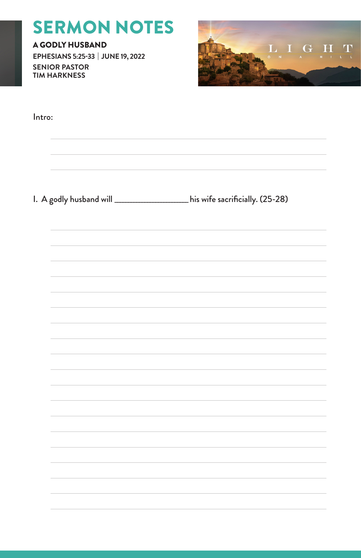# SERMON NOTES

A GODLY HUSBAND **EPHESIANS 5:25-33 | JUNE 19, 2022 SENIOR PASTOR TIM HARKNESS**



| Intro: |                                                                           |
|--------|---------------------------------------------------------------------------|
|        | I. A godly husband will __________________his wife sacrificially. (25-28) |
|        |                                                                           |
|        |                                                                           |
|        |                                                                           |
|        |                                                                           |
|        |                                                                           |
|        |                                                                           |
|        |                                                                           |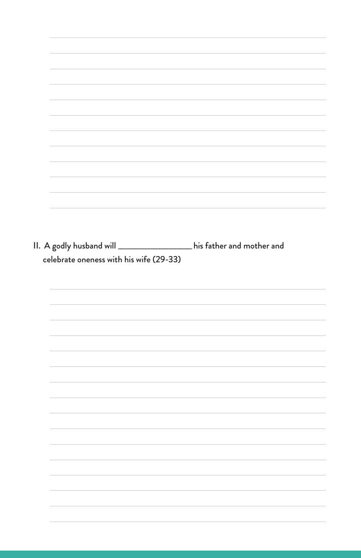|                                         | II. A godly husband will ___________________his father and mother and |  |
|-----------------------------------------|-----------------------------------------------------------------------|--|
|                                         |                                                                       |  |
| celebrate oneness with his wife (29-33) |                                                                       |  |
|                                         |                                                                       |  |
|                                         |                                                                       |  |
|                                         |                                                                       |  |
|                                         |                                                                       |  |
|                                         |                                                                       |  |
|                                         |                                                                       |  |
|                                         |                                                                       |  |
|                                         |                                                                       |  |
|                                         |                                                                       |  |
|                                         |                                                                       |  |
|                                         |                                                                       |  |
|                                         |                                                                       |  |
|                                         |                                                                       |  |
|                                         |                                                                       |  |
|                                         |                                                                       |  |
|                                         |                                                                       |  |
|                                         |                                                                       |  |
|                                         |                                                                       |  |
|                                         |                                                                       |  |
|                                         |                                                                       |  |
|                                         |                                                                       |  |
|                                         |                                                                       |  |
|                                         |                                                                       |  |
|                                         |                                                                       |  |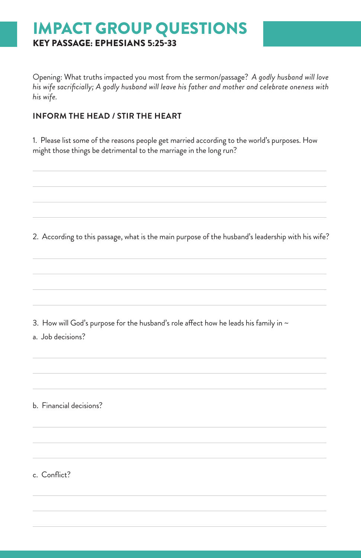# IMPACT GROUP QUESTIONS KEY PASSAGE: EPHESIANS 5:25-33

Opening: What truths impacted you most from the sermon/passage? *A godly husband will love his wife sacrificially; A godly husband will leave his father and mother and celebrate oneness with his wife.*

#### **INFORM THE HEAD / STIR THE HEART**

1. Please list some of the reasons people get married according to the world's purposes. How might those things be detrimental to the marriage in the long run?

2. According to this passage, what is the main purpose of the husband's leadership with his wife?

3. How will God's purpose for the husband's role affect how he leads his family in  $\sim$ 

a. Job decisions?

b. Financial decisions?

c. Conflict?